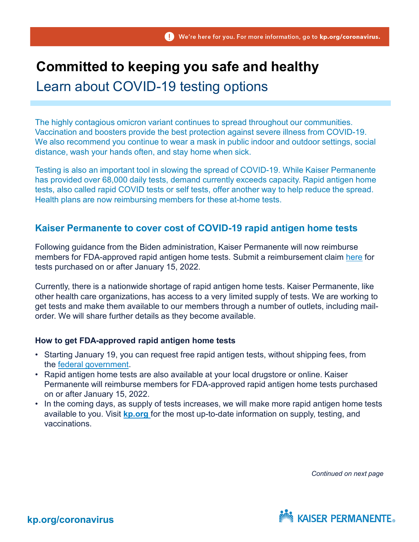# **Committed to keeping you safe and healthy**

## Learn about COVID-19 testing options

The highly contagious omicron variant continues to spread throughout our communities. Vaccination and boosters provide the best protection against severe illness from COVID-19. We also recommend you continue to wear a mask in public indoor and outdoor settings, social distance, wash your hands often, and stay home when sick.

Testing is also an important tool in slowing the spread of COVID-19. While Kaiser Permanente has provided over 68,000 daily tests, demand currently exceeds capacity. Rapid antigen home tests, also called rapid COVID tests or self tests, offer another way to help reduce the spread. Health plans are now reimbursing members for these at-home tests.

### **Kaiser Permanente to cover cost of COVID-19 rapid antigen home tests**

Following guidance from the Biden administration, Kaiser Permanente will now reimburse members for FDA-approved rapid antigen home tests. Submit a reimbursement claim [here](https://healthy.kaiserpermanente.org/colorado/secure/coverage-costs) for tests purchased on or after January 15, 2022.

Currently, there is a nationwide shortage of rapid antigen home tests. Kaiser Permanente, like other health care organizations, has access to a very limited supply of tests. We are working to get tests and make them available to our members through a number of outlets, including mailorder. We will share further details as they become available.

#### **How to get FDA-approved rapid antigen home tests**

- Starting January 19, you can request free rapid antigen tests, without shipping fees, from the [federal government](https://www.covidtests.gov/).
- Rapid antigen home tests are also available at your local drugstore or online. Kaiser Permanente will reimburse members for FDA-approved rapid antigen home tests purchased on or after January 15, 2022.
- In the coming days, as supply of tests increases, we will make more rapid antigen home tests available to you. Visit **[kp.org](https://healthy.kaiserpermanente.org/colorado/health-wellness/coronavirus-information?kp_shortcut_referrer=kp.org/coronavirus)** for the most up-to-date information on supply, testing, and vaccinations.

*Continued on next page*



**kp.org/coronavirus**